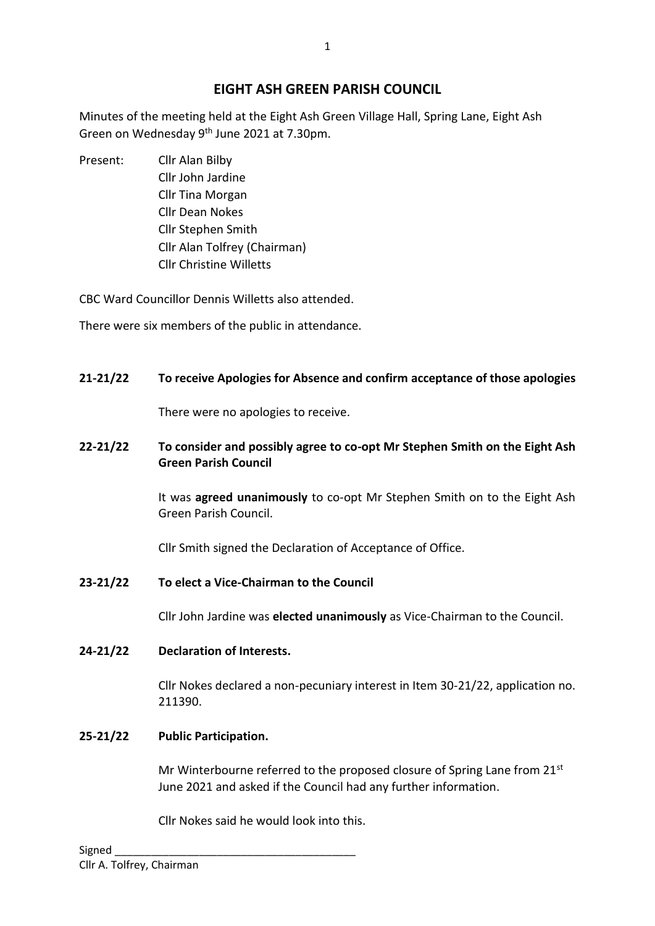# **EIGHT ASH GREEN PARISH COUNCIL**

Minutes of the meeting held at the Eight Ash Green Village Hall, Spring Lane, Eight Ash Green on Wednesday 9<sup>th</sup> June 2021 at 7.30pm.

Present: Cllr Alan Bilby Cllr John Jardine Cllr Tina Morgan Cllr Dean Nokes Cllr Stephen Smith Cllr Alan Tolfrey (Chairman) Cllr Christine Willetts

CBC Ward Councillor Dennis Willetts also attended.

There were six members of the public in attendance.

# **21-21/22 To receive Apologies for Absence and confirm acceptance of those apologies**

There were no apologies to receive.

### **22-21/22 To consider and possibly agree to co-opt Mr Stephen Smith on the Eight Ash Green Parish Council**

It was **agreed unanimously** to co-opt Mr Stephen Smith on to the Eight Ash Green Parish Council.

Cllr Smith signed the Declaration of Acceptance of Office.

**23-21/22 To elect a Vice-Chairman to the Council**

Cllr John Jardine was **elected unanimously** as Vice-Chairman to the Council.

# **24-21/22 Declaration of Interests.**

Cllr Nokes declared a non-pecuniary interest in Item 30-21/22, application no. 211390.

# **25-21/22 Public Participation.**

Mr Winterbourne referred to the proposed closure of Spring Lane from 21st June 2021 and asked if the Council had any further information.

Cllr Nokes said he would look into this.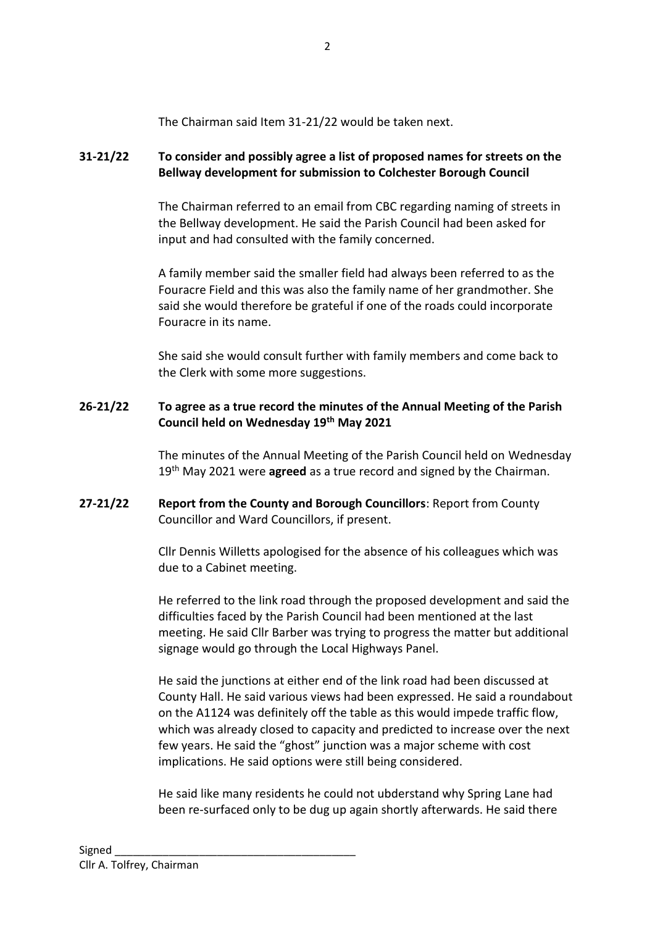The Chairman said Item 31-21/22 would be taken next.

#### **31-21/22 To consider and possibly agree a list of proposed names for streets on the Bellway development for submission to Colchester Borough Council**

The Chairman referred to an email from CBC regarding naming of streets in the Bellway development. He said the Parish Council had been asked for input and had consulted with the family concerned.

A family member said the smaller field had always been referred to as the Fouracre Field and this was also the family name of her grandmother. She said she would therefore be grateful if one of the roads could incorporate Fouracre in its name.

She said she would consult further with family members and come back to the Clerk with some more suggestions.

#### **26-21/22 To agree as a true record the minutes of the Annual Meeting of the Parish Council held on Wednesday 19th May 2021**

The minutes of the Annual Meeting of the Parish Council held on Wednesday 19th May 2021 were **agreed** as a true record and signed by the Chairman.

#### **27-21/22 Report from the County and Borough Councillors**: Report from County Councillor and Ward Councillors, if present.

Cllr Dennis Willetts apologised for the absence of his colleagues which was due to a Cabinet meeting.

He referred to the link road through the proposed development and said the difficulties faced by the Parish Council had been mentioned at the last meeting. He said Cllr Barber was trying to progress the matter but additional signage would go through the Local Highways Panel.

He said the junctions at either end of the link road had been discussed at County Hall. He said various views had been expressed. He said a roundabout on the A1124 was definitely off the table as this would impede traffic flow, which was already closed to capacity and predicted to increase over the next few years. He said the "ghost" junction was a major scheme with cost implications. He said options were still being considered.

He said like many residents he could not ubderstand why Spring Lane had been re-surfaced only to be dug up again shortly afterwards. He said there

2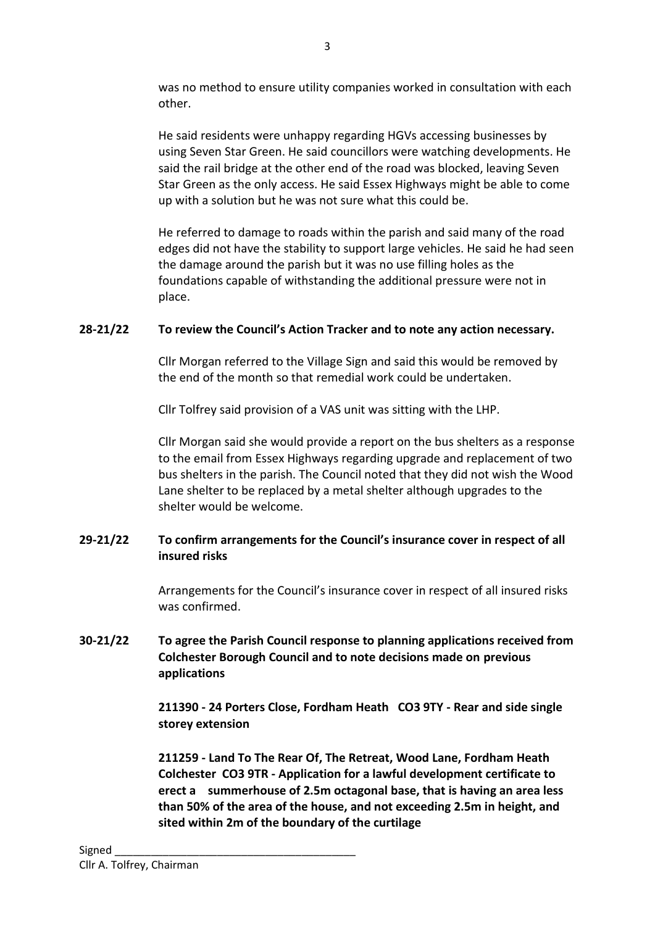was no method to ensure utility companies worked in consultation with each other.

He said residents were unhappy regarding HGVs accessing businesses by using Seven Star Green. He said councillors were watching developments. He said the rail bridge at the other end of the road was blocked, leaving Seven Star Green as the only access. He said Essex Highways might be able to come up with a solution but he was not sure what this could be.

He referred to damage to roads within the parish and said many of the road edges did not have the stability to support large vehicles. He said he had seen the damage around the parish but it was no use filling holes as the foundations capable of withstanding the additional pressure were not in place.

### **28-21/22 To review the Council's Action Tracker and to note any action necessary.**

Cllr Morgan referred to the Village Sign and said this would be removed by the end of the month so that remedial work could be undertaken.

Cllr Tolfrey said provision of a VAS unit was sitting with the LHP.

Cllr Morgan said she would provide a report on the bus shelters as a response to the email from Essex Highways regarding upgrade and replacement of two bus shelters in the parish. The Council noted that they did not wish the Wood Lane shelter to be replaced by a metal shelter although upgrades to the shelter would be welcome.

### **29-21/22 To confirm arrangements for the Council's insurance cover in respect of all insured risks**

Arrangements for the Council's insurance cover in respect of all insured risks was confirmed.

### **30-21/22 To agree the Parish Council response to planning applications received from Colchester Borough Council and to note decisions made on previous applications**

**211390 - 24 Porters Close, Fordham Heath CO3 9TY - Rear and side single storey extension**

**211259 - Land To The Rear Of, The Retreat, Wood Lane, Fordham Heath Colchester CO3 9TR - Application for a lawful development certificate to erect a summerhouse of 2.5m octagonal base, that is having an area less than 50% of the area of the house, and not exceeding 2.5m in height, and sited within 2m of the boundary of the curtilage**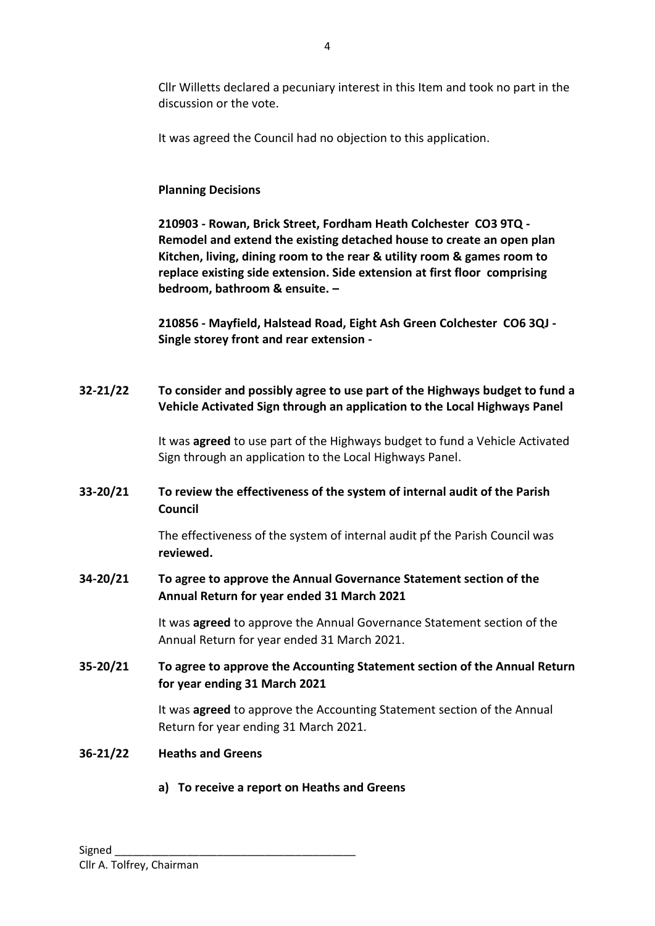Cllr Willetts declared a pecuniary interest in this Item and took no part in the discussion or the vote.

It was agreed the Council had no objection to this application.

#### **Planning Decisions**

**210903 - Rowan, Brick Street, Fordham Heath Colchester CO3 9TQ - Remodel and extend the existing detached house to create an open plan Kitchen, living, dining room to the rear & utility room & games room to replace existing side extension. Side extension at first floor comprising bedroom, bathroom & ensuite. –**

**210856 - Mayfield, Halstead Road, Eight Ash Green Colchester CO6 3QJ - Single storey front and rear extension -**

**32-21/22 To consider and possibly agree to use part of the Highways budget to fund a Vehicle Activated Sign through an application to the Local Highways Panel**

> It was **agreed** to use part of the Highways budget to fund a Vehicle Activated Sign through an application to the Local Highways Panel.

# **33-20/21 To review the effectiveness of the system of internal audit of the Parish Council**

The effectiveness of the system of internal audit pf the Parish Council was **reviewed.**

### **34-20/21 To agree to approve the Annual Governance Statement section of the Annual Return for year ended 31 March 2021**

It was **agreed** to approve the Annual Governance Statement section of the Annual Return for year ended 31 March 2021.

### **35-20/21 To agree to approve the Accounting Statement section of the Annual Return for year ending 31 March 2021**

It was **agreed** to approve the Accounting Statement section of the Annual Return for year ending 31 March 2021.

#### **36-21/22 Heaths and Greens**

**a) To receive a report on Heaths and Greens**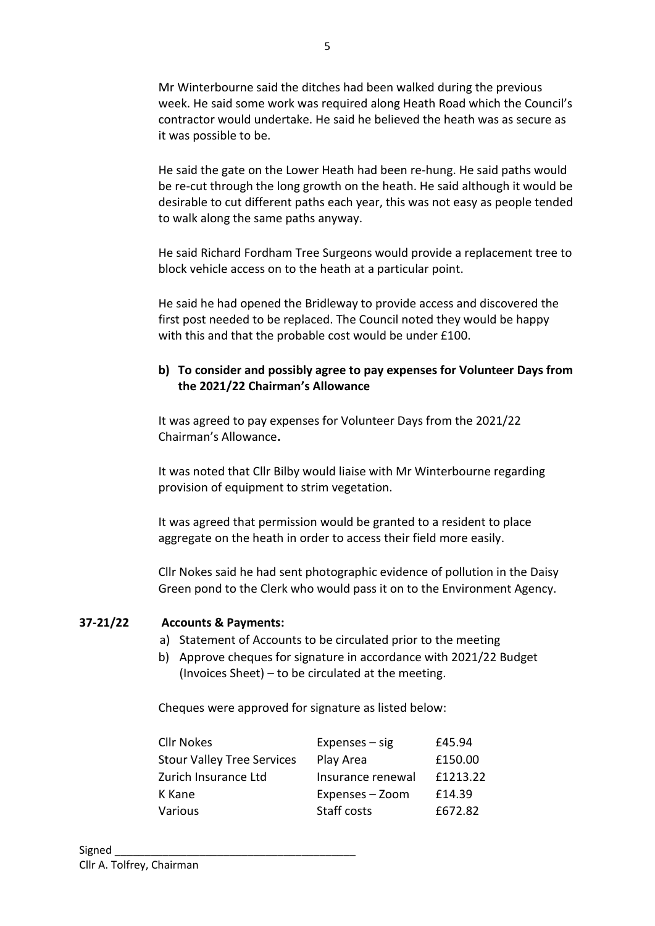Mr Winterbourne said the ditches had been walked during the previous week. He said some work was required along Heath Road which the Council's contractor would undertake. He said he believed the heath was as secure as it was possible to be.

He said the gate on the Lower Heath had been re-hung. He said paths would be re-cut through the long growth on the heath. He said although it would be desirable to cut different paths each year, this was not easy as people tended to walk along the same paths anyway.

He said Richard Fordham Tree Surgeons would provide a replacement tree to block vehicle access on to the heath at a particular point.

He said he had opened the Bridleway to provide access and discovered the first post needed to be replaced. The Council noted they would be happy with this and that the probable cost would be under £100.

### **b) To consider and possibly agree to pay expenses for Volunteer Days from the 2021/22 Chairman's Allowance**

It was agreed to pay expenses for Volunteer Days from the 2021/22 Chairman's Allowance**.**

It was noted that Cllr Bilby would liaise with Mr Winterbourne regarding provision of equipment to strim vegetation.

It was agreed that permission would be granted to a resident to place aggregate on the heath in order to access their field more easily.

Cllr Nokes said he had sent photographic evidence of pollution in the Daisy Green pond to the Clerk who would pass it on to the Environment Agency.

#### **37-21/22 Accounts & Payments:**

- a) Statement of Accounts to be circulated prior to the meeting
- b) Approve cheques for signature in accordance with 2021/22 Budget (Invoices Sheet) – to be circulated at the meeting.

Cheques were approved for signature as listed below:

| <b>Cllr Nokes</b>                 | $Express - sig$   | £45.94   |
|-----------------------------------|-------------------|----------|
| <b>Stour Valley Tree Services</b> | Play Area         | £150.00  |
| Zurich Insurance Ltd              | Insurance renewal | £1213.22 |
| K Kane                            | Expenses - Zoom   | £14.39   |
| Various                           | Staff costs       | £672.82  |